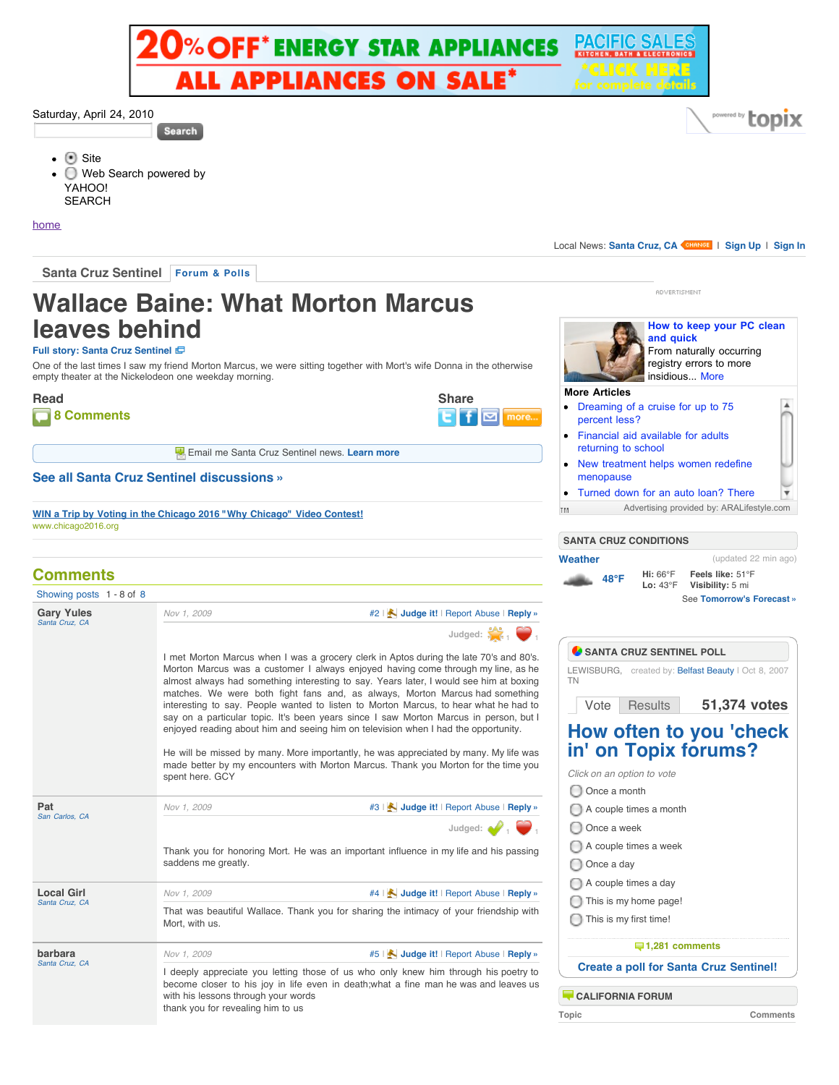

Web Search powered by YAHOO! **SEARCH** 

[home](http://www.santacruzsentinel.com/)



**Topic Comments**

thank you for revealing him to us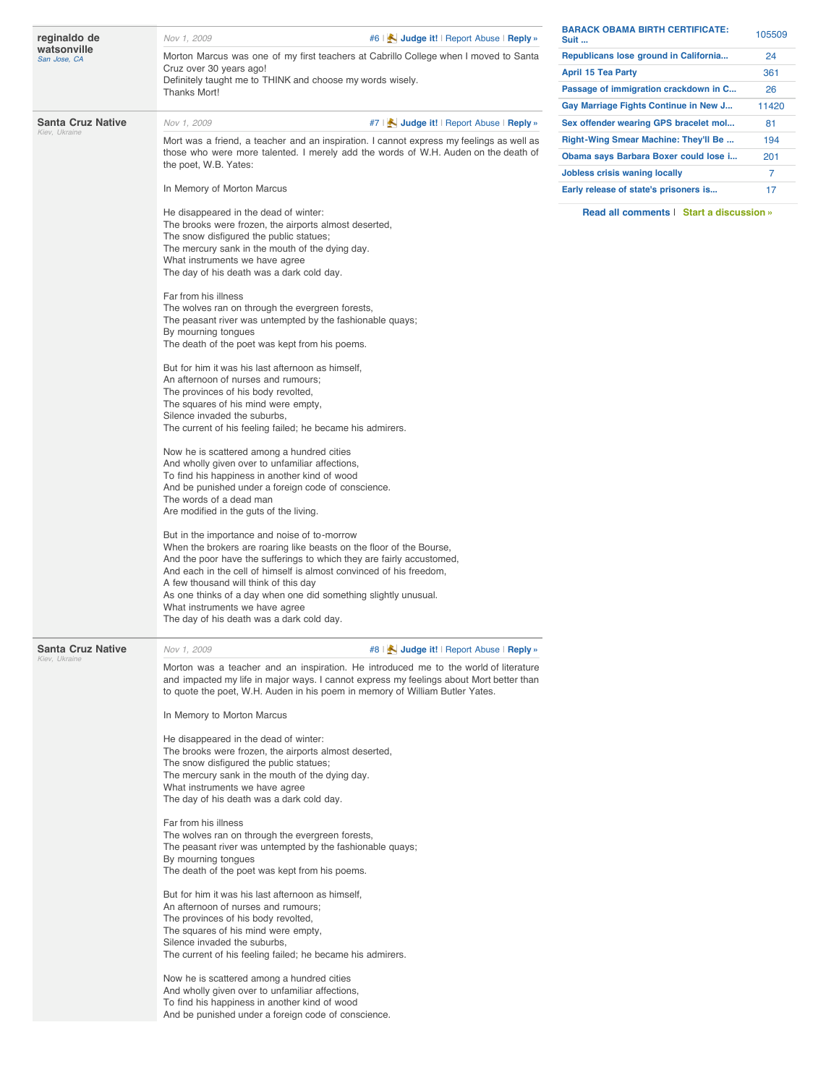| reginaldo de             | Nov 1, 2009<br>#6   Judge it!   Report Abuse   Reply »                                                                                                                                                                                                                                                                                                                                                                                                                                                                                                                                                                                                                                                                                                                                                                                                                                                                                                                                                                                                                                                                                                                                                                                                | <b>BARACK OBAMA BIRTH CERTIFICATE:</b><br>Suit | 105509         |
|--------------------------|-------------------------------------------------------------------------------------------------------------------------------------------------------------------------------------------------------------------------------------------------------------------------------------------------------------------------------------------------------------------------------------------------------------------------------------------------------------------------------------------------------------------------------------------------------------------------------------------------------------------------------------------------------------------------------------------------------------------------------------------------------------------------------------------------------------------------------------------------------------------------------------------------------------------------------------------------------------------------------------------------------------------------------------------------------------------------------------------------------------------------------------------------------------------------------------------------------------------------------------------------------|------------------------------------------------|----------------|
| watsonville              | Morton Marcus was one of my first teachers at Cabrillo College when I moved to Santa                                                                                                                                                                                                                                                                                                                                                                                                                                                                                                                                                                                                                                                                                                                                                                                                                                                                                                                                                                                                                                                                                                                                                                  | Republicans lose ground in California          | 24             |
| San Jose, CA             | Cruz over 30 years ago!                                                                                                                                                                                                                                                                                                                                                                                                                                                                                                                                                                                                                                                                                                                                                                                                                                                                                                                                                                                                                                                                                                                                                                                                                               | <b>April 15 Tea Party</b>                      | 361            |
|                          | Definitely taught me to THINK and choose my words wisely.                                                                                                                                                                                                                                                                                                                                                                                                                                                                                                                                                                                                                                                                                                                                                                                                                                                                                                                                                                                                                                                                                                                                                                                             | Passage of immigration crackdown in C          | 26             |
|                          | Thanks Mort!                                                                                                                                                                                                                                                                                                                                                                                                                                                                                                                                                                                                                                                                                                                                                                                                                                                                                                                                                                                                                                                                                                                                                                                                                                          | Gay Marriage Fights Continue in New J          | 11420          |
| <b>Santa Cruz Native</b> | #7   Judge it!   Report Abuse   Reply »                                                                                                                                                                                                                                                                                                                                                                                                                                                                                                                                                                                                                                                                                                                                                                                                                                                                                                                                                                                                                                                                                                                                                                                                               |                                                |                |
| Kiev, Ukraine            | Nov 1, 2009                                                                                                                                                                                                                                                                                                                                                                                                                                                                                                                                                                                                                                                                                                                                                                                                                                                                                                                                                                                                                                                                                                                                                                                                                                           | Sex offender wearing GPS bracelet mol          | 81             |
|                          | Mort was a friend, a teacher and an inspiration. I cannot express my feelings as well as<br>those who were more talented. I merely add the words of W.H. Auden on the death of                                                                                                                                                                                                                                                                                                                                                                                                                                                                                                                                                                                                                                                                                                                                                                                                                                                                                                                                                                                                                                                                        | Right-Wing Smear Machine: They'll Be           | 194            |
|                          | the poet, W.B. Yates:                                                                                                                                                                                                                                                                                                                                                                                                                                                                                                                                                                                                                                                                                                                                                                                                                                                                                                                                                                                                                                                                                                                                                                                                                                 | Obama says Barbara Boxer could lose i          | 201            |
|                          |                                                                                                                                                                                                                                                                                                                                                                                                                                                                                                                                                                                                                                                                                                                                                                                                                                                                                                                                                                                                                                                                                                                                                                                                                                                       | <b>Jobless crisis waning locally</b>           | $\overline{7}$ |
|                          | In Memory of Morton Marcus                                                                                                                                                                                                                                                                                                                                                                                                                                                                                                                                                                                                                                                                                                                                                                                                                                                                                                                                                                                                                                                                                                                                                                                                                            | Early release of state's prisoners is          | 17             |
|                          | He disappeared in the dead of winter:<br>The brooks were frozen, the airports almost deserted,<br>The snow disfigured the public statues;<br>The mercury sank in the mouth of the dying day.<br>What instruments we have agree<br>The day of his death was a dark cold day.<br>Far from his illness<br>The wolves ran on through the evergreen forests,<br>The peasant river was untempted by the fashionable quays;<br>By mourning tongues<br>The death of the poet was kept from his poems.<br>But for him it was his last afternoon as himself,<br>An afternoon of nurses and rumours;<br>The provinces of his body revolted,<br>The squares of his mind were empty,<br>Silence invaded the suburbs,<br>The current of his feeling failed; he became his admirers.<br>Now he is scattered among a hundred cities<br>And wholly given over to unfamiliar affections,<br>To find his happiness in another kind of wood<br>And be punished under a foreign code of conscience.<br>The words of a dead man<br>Are modified in the guts of the living.<br>But in the importance and noise of to-morrow<br>When the brokers are roaring like beasts on the floor of the Bourse,<br>And the poor have the sufferings to which they are fairly accustomed, | Read all comments   Start a discussion »       |                |
| <b>Santa Cruz Native</b> | And each in the cell of himself is almost convinced of his freedom,<br>A few thousand will think of this day<br>As one thinks of a day when one did something slightly unusual.<br>What instruments we have agree<br>The day of his death was a dark cold day.<br>Nov 1, 2009<br>#8   Judge it!   Report Abuse   Reply »                                                                                                                                                                                                                                                                                                                                                                                                                                                                                                                                                                                                                                                                                                                                                                                                                                                                                                                              |                                                |                |
| Kiev. Ukraine            | Morton was a teacher and an inspiration. He introduced me to the world of literature                                                                                                                                                                                                                                                                                                                                                                                                                                                                                                                                                                                                                                                                                                                                                                                                                                                                                                                                                                                                                                                                                                                                                                  |                                                |                |
|                          | and impacted my life in major ways. I cannot express my feelings about Mort better than<br>to quote the poet, W.H. Auden in his poem in memory of William Butler Yates.<br>In Memory to Morton Marcus                                                                                                                                                                                                                                                                                                                                                                                                                                                                                                                                                                                                                                                                                                                                                                                                                                                                                                                                                                                                                                                 |                                                |                |
|                          | He disappeared in the dead of winter:<br>The brooks were frozen, the airports almost deserted,<br>The snow disfigured the public statues;<br>The mercury sank in the mouth of the dying day.<br>What instruments we have agree<br>The day of his death was a dark cold day.                                                                                                                                                                                                                                                                                                                                                                                                                                                                                                                                                                                                                                                                                                                                                                                                                                                                                                                                                                           |                                                |                |
|                          | Far from his illness<br>The wolves ran on through the evergreen forests,<br>The peasant river was untempted by the fashionable quays;<br>By mourning tongues<br>The death of the poet was kept from his poems.                                                                                                                                                                                                                                                                                                                                                                                                                                                                                                                                                                                                                                                                                                                                                                                                                                                                                                                                                                                                                                        |                                                |                |
|                          | But for him it was his last afternoon as himself,<br>An afternoon of nurses and rumours;<br>The provinces of his body revolted,<br>The squares of his mind were empty,<br>Silence invaded the suburbs,<br>The current of his feeling failed; he became his admirers.                                                                                                                                                                                                                                                                                                                                                                                                                                                                                                                                                                                                                                                                                                                                                                                                                                                                                                                                                                                  |                                                |                |
|                          | Now he is scattered among a hundred cities<br>And wholly given over to unfamiliar affections,<br>To find his happiness in another kind of wood<br>And be punished under a foreign code of conscience.                                                                                                                                                                                                                                                                                                                                                                                                                                                                                                                                                                                                                                                                                                                                                                                                                                                                                                                                                                                                                                                 |                                                |                |